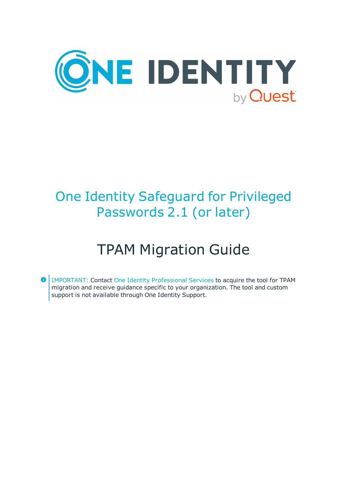

# One Identity Safeguard for Privileged Passwords 2.1 (or later)

# TPAM Migration Guide

IMPORTANT: Contact One Identity [Professional](https://support.oneidentity.com/professional-services-product-select/) Services to acquire the tool for TPAM migration and receive guidance specific to your organization. The tool and custom support is not available through One Identity Support.

 $\bullet$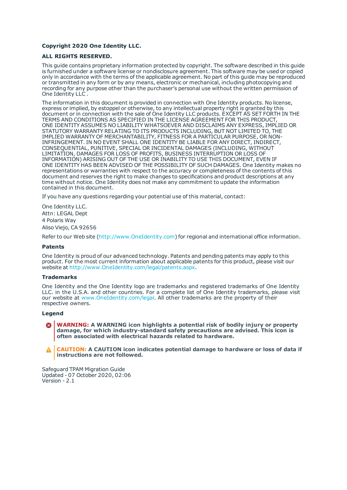#### **Copyright 2020 One Identity LLC.**

#### **ALL RIGHTS RESERVED.**

This guide contains proprietary information protected by copyright. The software described in this guide is furnished under a software license or nondisclosure agreement. This software may be used or copied only in accordance with the terms of the applicable agreement. No part of this guide may be reproduced or transmitted in any form or by any means, electronic or mechanical, including photocopying and recording for any purpose other than the purchaser's personal use without the written permission of One Identity LLC .

The information in this document is provided in connection with One Identity products. No license, express or implied, by estoppel or otherwise, to any intellectual property right is granted by this document or in connection with the sale of One Identity LLC products. EXCEPT AS SET FORTH IN THE TERMS AND CONDITIONS AS SPECIFIED IN THE LICENSE AGREEMENT FOR THIS PRODUCT, ONE IDENTITY ASSUMES NO LIABILITY WHATSOEVER AND DISCLAIMS ANY EXPRESS, IMPLIED OR STATUTORY WARRANTY RELATING TO ITS PRODUCTS INCLUDING, BUT NOT LIMITED TO, THE IMPLIED WARRANTY OF MERCHANTABILITY, FITNESS FOR A PARTICULAR PURPOSE, OR NON-INFRINGEMENT. IN NO EVENT SHALL ONE IDENTITY BE LIABLE FOR ANY DIRECT, INDIRECT, CONSEQUENTIAL, PUNITIVE, SPECIAL OR INCIDENTAL DAMAGES (INCLUDING, WITHOUT LIMITATION, DAMAGES FOR LOSS OF PROFITS, BUSINESS INTERRUPTION OR LOSS OF INFORMATION) ARISING OUT OF THE USE OR INABILITY TO USE THIS DOCUMENT, EVEN IF ONE IDENTITY HAS BEEN ADVISED OF THE POSSIBILITY OF SUCH DAMAGES. One Identity makes no representations or warranties with respect to the accuracy or completeness of the contents of this document and reserves the right to make changes to specifications and product descriptions at any time without notice. One Identity does not make any commitment to update the information contained in this document.

If you have any questions regarding your potential use of this material, contact:

One Identity LLC. Attn: LEGAL Dept 4 Polaris Way Aliso Viejo, CA 92656

Refer to our Web site ([http://www.OneIdentity.com](http://www.oneidentity.com/)) for regional and international office information.

#### **Patents**

One Identity is proud of our advanced technology. Patents and pending patents may apply to this product. For the most current information about applicable patents for this product, please visit our website at [http://www.OneIdentity.com/legal/patents.aspx](http://www.oneidentity.com/legal/patents.aspx).

#### **Trademarks**

One Identity and the One Identity logo are trademarks and registered trademarks of One Identity LLC. in the U.S.A. and other countries. For a complete list of One Identity trademarks, please visit our website at [www.OneIdentity.com/legal](http://www.oneidentity.com/legal). All other trademarks are the property of their respective owners.

#### **Legend**

**WARNING: A WARNING icon highlights a potential risk of bodily injury or property damage, for which industry-standard safety precautions are advised. This icon is often associated with electrical hazards related to hardware.**

**CAUTION: A CAUTION icon indicates potential damage to hardware or loss of data if** A **instructions are not followed.**

Safeguard TPAM Migration Guide Updated - 07 October 2020, 02:06 Version - 2.1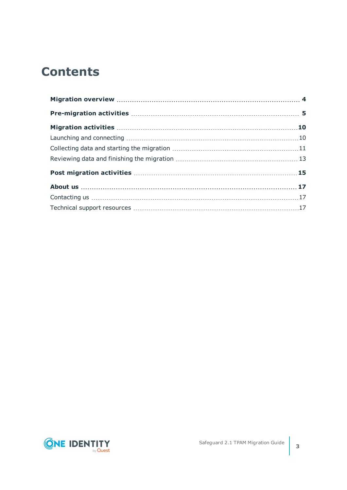## **Contents**

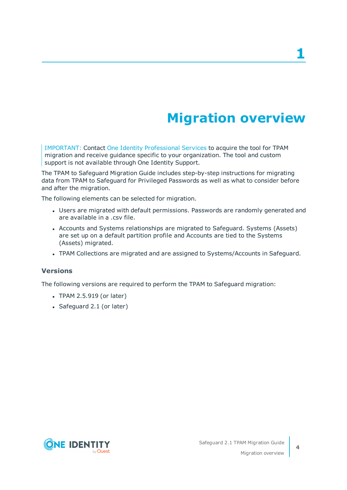# **Migration overview**

<span id="page-3-0"></span>IMPORTANT: Contact One Identity [Professional](https://support.oneidentity.com/professional-services-product-select/) Services to acquire the tool for TPAM migration and receive guidance specific to your organization. The tool and custom support is not available through One Identity Support.

The TPAM to Safeguard Migration Guide includes step-by-step instructions for migrating data from TPAM to Safeguard for Privileged Passwords as well as what to consider before and after the migration.

The following elements can be selected for migration.

- Users are migrated with default permissions. Passwords are randomly generated and are available in a .csv file.
- Accounts and Systems relationships are migrated to Safeguard. Systems (Assets) are set up on a default partition profile and Accounts are tied to the Systems (Assets) migrated.
- TPAM Collections are migrated and are assigned to Systems/Accounts in Safeguard.

#### **Versions**

The following versions are required to perform the TPAM to Safeguard migration:

- $\cdot$  TPAM 2.5.919 (or later)
- Safeguard 2.1 (or later)

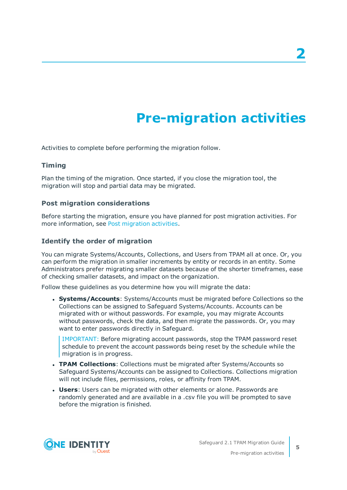# **Pre-migration activities**

<span id="page-4-0"></span>Activities to complete before performing the migration follow.

### **Timing**

Plan the timing of the migration. Once started, if you close the migration tool, the migration will stop and partial data may be migrated.

#### **Post migration considerations**

Before starting the migration, ensure you have planned for post migration activities. For more information, see Post [migration](#page-14-0) activities.

### <span id="page-4-1"></span>**Identify the order of migration**

You can migrate Systems/Accounts, Collections, and Users from TPAM all at once. Or, you can perform the migration in smaller increments by entity or records in an entity. Some Administrators prefer migrating smaller datasets because of the shorter timeframes, ease of checking smaller datasets, and impact on the organization.

Follow these guidelines as you determine how you will migrate the data:

**. Systems/Accounts**: Systems/Accounts must be migrated before Collections so the Collections can be assigned to Safeguard Systems/Accounts. Accounts can be migrated with or without passwords. For example, you may migrate Accounts without passwords, check the data, and then migrate the passwords. Or, you may want to enter passwords directly in Safeguard.

IMPORTANT: Before migrating account passwords, stop the TPAM password reset schedule to prevent the account passwords being reset by the schedule while the migration is in progress.

- <sup>l</sup> **TPAM Collections**: Collections must be migrated after Systems/Accounts so Safeguard Systems/Accounts can be assigned to Collections. Collections migration will not include files, permissions, roles, or affinity from TPAM.
- **Users:** Users can be migrated with other elements or alone. Passwords are randomly generated and are available in a .csv file you will be prompted to save before the migration is finished.

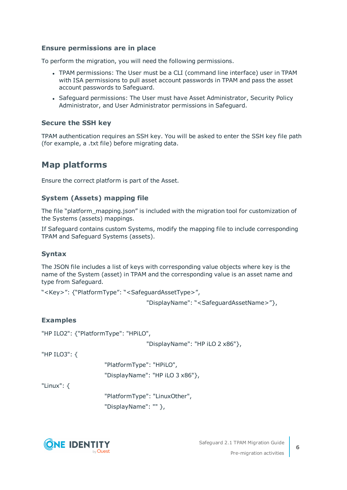### **Ensure permissions are in place**

To perform the migration, you will need the following permissions.

- TPAM permissions: The User must be a CLI (command line interface) user in TPAM with ISA permissions to pull asset account passwords in TPAM and pass the asset account passwords to Safeguard.
- Safeguard permissions: The User must have Asset Administrator, Security Policy Administrator, and User Administrator permissions in Safeguard.

#### **Secure the SSH key**

TPAM authentication requires an SSH key. You will be asked to enter the SSH key file path (for example, a .txt file) before migrating data.

### **Map platforms**

Ensure the correct platform is part of the Asset.

### **System (Assets) mapping file**

The file "platform\_mapping.json" is included with the migration tool for customization of the Systems (assets) mappings.

If Safeguard contains custom Systems, modify the mapping file to include corresponding TPAM and Safeguard Systems (assets).

#### **Syntax**

The JSON file includes a list of keys with corresponding value objects where key is the name of the System (asset) in TPAM and the corresponding value is an asset name and type from Safeguard.

"<Key>": {"PlatformType": "<SafeguardAssetType>",

"DisplayName": "<SafeguardAssetName>"},

#### **Examples**

"HP ILO2": {"PlatformType": "HPiLO",

"DisplayName": "HP iLO 2 x86"},

"HP ILO3": {

"PlatformType": "HPiLO", "DisplayName": "HP iLO 3 x86"},

"Linux": {

"PlatformType": "LinuxOther", "DisplayName": "" },

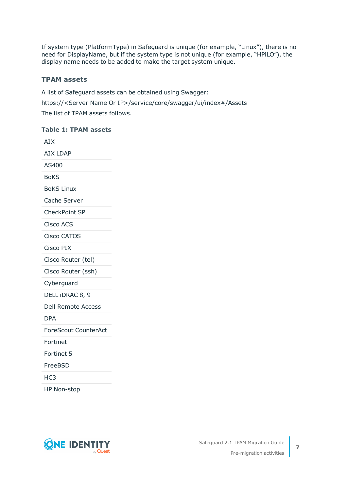If system type (PlatformType) in Safeguard is unique (for example, "Linux"), there is no need for DisplayName, but if the system type is not unique (for example, "HPiLO"), the display name needs to be added to make the target system unique.

### **TPAM assets**

A list of Safeguard assets can be obtained using Swagger: https://<Server Name Or IP>/service/core/swagger/ui/index#/Assets The list of TPAM assets follows.

#### **Table 1: TPAM assets**

| <b>AIX</b>                  |
|-----------------------------|
| <b>AIX LDAP</b>             |
| AS400                       |
| <b>BoKS</b>                 |
| <b>BoKS Linux</b>           |
| Cache Server                |
| CheckPoint SP               |
| <b>Cisco ACS</b>            |
| <b>Cisco CATOS</b>          |
| Cisco PIX                   |
| Cisco Router (tel)          |
| Cisco Router (ssh)          |
| Cyberguard                  |
| DELL IDRAC 8, 9             |
| <b>Dell Remote Access</b>   |
| <b>DPA</b>                  |
| <b>ForeScout CounterAct</b> |
| Fortinet                    |
| Fortinet 5                  |
| FreeBSD                     |
| HC <sub>3</sub>             |
| <b>HP Non-stop</b>          |

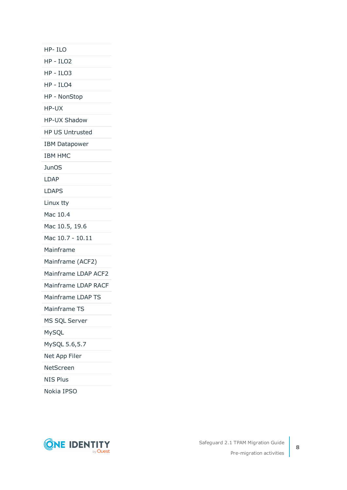HP- ILO

HP - ILO2

HP - ILO3

HP - ILO4

HP - NonStop

HP-UX

HP-UX Shadow

HP US Untrusted

IBM Datapower

IBM HMC

**JunOS** 

LDAP

LDAPS

Linux tty

Mac 10.4

Mac 10.5, 19.6

Mac 10.7 - 10.11

Mainframe

Mainframe (ACF2)

Mainframe LDAP ACF2

Mainframe LDAP RACF

Mainframe LDAP TS

Mainframe TS

MS SQL Server

MySQL

MySQL 5.6,5.7

Net App Filer

NetScreen

NIS Plus

Nokia IPSO

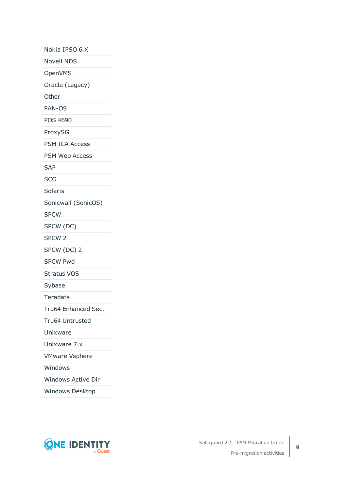Nokia IPSO 6.X

Novell NDS

OpenVMS

Oracle (Legacy)

Other

PAN-OS

POS 4690

ProxySG

PSM ICA Access

PSM Web Access

SAP

SCO

Solaris

Sonicwall (SonicOS)

SPCW

SPCW (DC)

SPCW 2

SPCW (DC) 2

SPCW Pwd

Stratus VOS

Sybase

Teradata

Tru64 Enhanced Sec.

Tru64 Untrusted

Unixware

Unixware 7.x

VMware Vsphere

Windows

Windows Active Dir

Windows Desktop

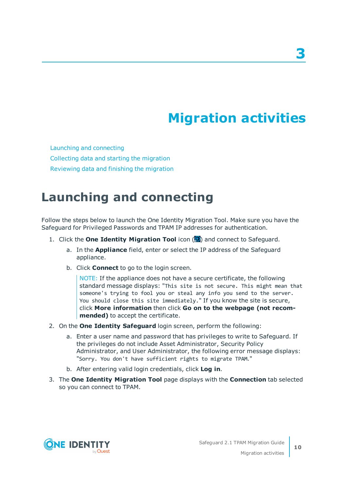# **Migration activities**

<span id="page-9-0"></span>Launching and [connecting](#page-9-1) [Collecting](#page-10-0) data and starting the migration [Reviewing](#page-12-0) data and finishing the migration

### <span id="page-9-1"></span>**Launching and connecting**

Follow the steps below to launch the One Identity Migration Tool. Make sure you have the Safeguard for Privileged Passwords and TPAM IP addresses for authentication.

- 1. Click the **One Identity Migration Tool** icon ( ) and connect to Safeguard.
	- a. In the **Appliance** field, enter or select the IP address of the Safeguard appliance.
	- b. Click **Connect** to go to the login screen.

NOTE: If the appliance does not have a secure certificate, the following standard message displays: "This site is not secure. This might mean that someone's trying to fool you or steal any info you send to the server. You should close this site immediately." If you know the site is secure, click **More information** then click **Go on to the webpage (not recommended)** to accept the certificate.

- 2. On the **One Identity Safeguard** login screen, perform the following:
	- a. Enter a user name and password that has privileges to write to Safeguard. If the privileges do not include Asset Administrator, Security Policy Administrator, and User Administrator, the following error message displays: "Sorry. You don't have sufficient rights to migrate TPAM."
	- b. After entering valid login credentials, click **Log in**.
- 3. The **One Identity Migration Tool** page displays with the **Connection** tab selected so you can connect to TPAM.

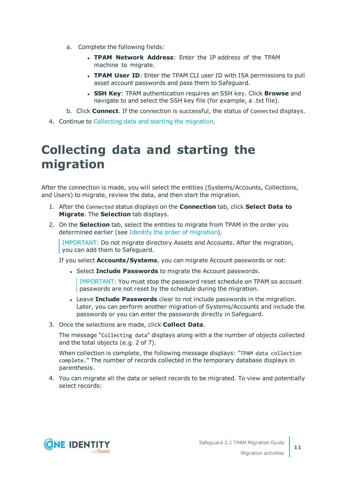- a. Complete the following fields:
	- **. TPAM Network Address:** Enter the IP address of the TPAM machine to migrate.
	- **TPAM User ID:** Enter the TPAM CLI user ID with ISA permissions to pull asset account passwords and pass them to Safeguard.
	- <sup>l</sup> **SSH Key**: TPAM authentication requires an SSH key. Click **Browse** and navigate to and select the SSH key file (for example, a .txt file).
- b. Click **Connect**. If the connection is successful, the status of Connected displays.
- <span id="page-10-0"></span>4. Continue to [Collecting](#page-10-0) data and starting the migration.

## **Collecting data and starting the migration**

After the connection is made, you will select the entities (Systems/Accounts, Collections, and Users) to migrate, review the data, and then start the migration.

- 1. After the Connected status displays on the **Connection** tab, click **Select Data to Migrate**. The **Selection** tab displays.
- 2. On the **Selection** tab, select the entities to migrate from TPAM in the order you determined earlier (see Identify the order of [migration\)](#page-4-1).

IMPORTANT: Do not migrate directory Assets and Accounts. After the migration, you can add them to Safeguard.

If you select **Accounts/Systems**, you can migrate Account passwords or not:

**.** Select **Include Passwords** to migrate the Account passwords.

IMPORTANT: You must stop the password reset schedule on TPAM so account passwords are not reset by the schedule during the migration.

- **.** Leave Include Passwords clear to not include passwords in the migration. Later, you can perform another migration of Systems/Accounts and include the passwords or you can enter the passwords directly in Safeguard.
- 3. Once the selections are made, click **Collect Data**.

The message "Collecting data" displays along with a the number of objects collected and the total objects (e.g. 2 of 7).

When collection is complete, the following message displays: "TPAM data collection complete." The number of records collected in the temporary database displays in parenthesis.

4. You can migrate all the data or select records to be migrated. To view and potentially select records:

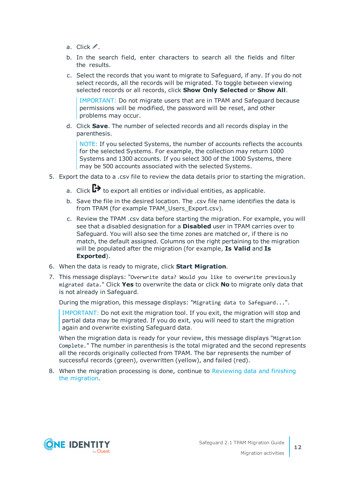- a. Click  $\mathscr{I}$ .
- b. In the search field, enter characters to search all the fields and filter the results.
- c. Select the records that you want to migrate to Safeguard, if any. If you do not select records, all the records will be migrated. To toggle between viewing selected records or all records, click **Show Only Selected** or **Show All**.

IMPORTANT: Do not migrate users that are in TPAM and Safeguard because permissions will be modified, the password will be reset, and other problems may occur.

d. Click **Save**. The number of selected records and all records display in the parenthesis.

NOTE: If you selected Systems, the number of accounts reflects the accounts for the selected Systems. For example, the collection may return 1000 Systems and 1300 accounts. If you select 300 of the 1000 Systems, there may be 500 accounts associated with the selected Systems.

- 5. Export the data to a .csv file to review the data details prior to starting the migration.
	- a. Click  $\mathbb{D}$  to export all entities or individual entities, as applicable.
	- b. Save the file in the desired location. The .csv file name identifies the data is from TPAM (for example TPAM\_Users\_Export.csv).
	- c. Review the TPAM .csv data before starting the migration. For example, you will see that a disabled designation for a **Disabled** user in TPAM carries over to Safeguard. You will also see the time zones are matched or, if there is no match, the default assigned. Columns on the right pertaining to the migration will be populated after the migration (for example, **Is Valid** and **Is Exported**).
- 6. When the data is ready to migrate, click **Start Migration**.
- 7. This message displays: "Overwrite data? Would you like to overwrite previously migrated data." Click **Yes** to overwrite the data or click **No** to migrate only data that is not already in Safeguard.

During the migration, this message displays: "Migrating data to Safeguard...".

IMPORTANT: Do not exit the migration tool. If you exit, the migration will stop and partial data may be migrated. If you do exit, you will need to start the migration again and overwrite existing Safeguard data.

When the migration data is ready for your review, this message displays "Migration Complete." The number in parenthesis is the total migrated and the second represents all the records originally collected from TPAM. The bar represents the number of successful records (green), overwritten (yellow), and failed (red).

8. When the migration processing is done, continue to [Reviewing](#page-12-0) data and finishing the [migration.](#page-12-0)

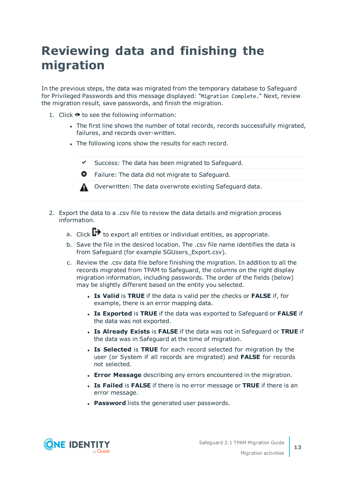## <span id="page-12-0"></span>**Reviewing data and finishing the migration**

In the previous steps, the data was migrated from the temporary database to Safeguard for Privileged Passwords and this message displayed: "Migration Complete." Next, review the migration result, save passwords, and finish the migration.

- 1. Click  $\bullet$  to see the following information:
	- The first line shows the number of total records, records successfully migrated, failures, and records over-written.
	- The following icons show the results for each record.



 $\bullet$  Failure: The data did not migrate to Safeguard.



- 2. Export the data to a .csv file to review the data details and migration process information.
	- a. Click  $\Box$  to export all entities or individual entities, as appropriate.
	- b. Save the file in the desired location. The .csv file name identifies the data is from Safeguard (for example SGUsers Export.csv).
	- c. Review the .csv data file before finishing the migration. In addition to all the records migrated from TPAM to Safeguard, the columns on the right display migration information, including passwords. The order of the fields (below) may be slightly different based on the entity you selected.
		- <sup>l</sup> **Is Valid** is **TRUE** if the data is valid per the checks or **FALSE** if, for example, there is an error mapping data.
		- <sup>l</sup> **Is Exported** is **TRUE** if the data was exported to Safeguard or **FALSE** if the data was not exported.
		- <sup>l</sup> **Is Already Exists** is **FALSE** if the data was not in Safeguard or **TRUE** if the data was in Safeguard at the time of migration.
		- **. Is Selected** is **TRUE** for each record selected for migration by the user (or System if all records are migrated) and **FALSE** for records not selected.
		- <sup>l</sup> **Error Message** describing any errors encountered in the migration.
		- **.** Is Failed is FALSE if there is no error message or TRUE if there is an error message.
		- **Password** lists the generated user passwords.

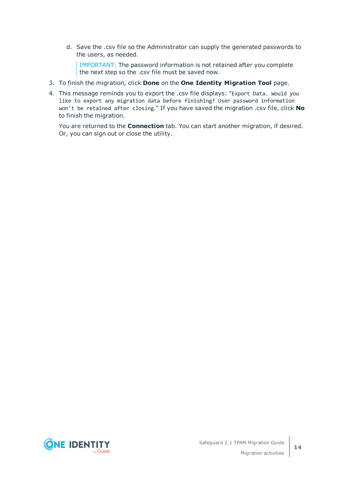d. Save the .csv file so the Administrator can supply the generated passwords to the users, as needed.

IMPORTANT: The password information is not retained after you complete the next step so the .csv file must be saved now.

- 3. To finish the migration, click **Done** on the **One Identity Migration Tool** page.
- 4. This message reminds you to export the .csv file displays: "Export Data. Would you like to export any migration data before finishing? User password information won't be retained after closing." If you have saved the migration .csv file, click **No** to finish the migration.

You are returned to the **Connection** tab. You can start another migration, if desired. Or, you can sign out or close the utility.

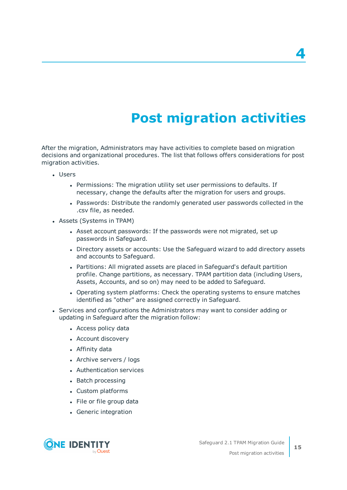# **Post migration activities**

<span id="page-14-0"></span>After the migration, Administrators may have activities to complete based on migration decisions and organizational procedures. The list that follows offers considerations for post migration activities.

- Users
	- Permissions: The migration utility set user permissions to defaults. If necessary, change the defaults after the migration for users and groups.
	- Passwords: Distribute the randomly generated user passwords collected in the .csv file, as needed.
- Assets (Systems in TPAM)
	- Asset account passwords: If the passwords were not migrated, set up passwords in Safeguard.
	- Directory assets or accounts: Use the Safeguard wizard to add directory assets and accounts to Safeguard.
	- Partitions: All migrated assets are placed in Safeguard's default partition profile. Change partitions, as necessary. TPAM partition data (including Users, Assets, Accounts, and so on) may need to be added to Safeguard.
	- Operating system platforms: Check the operating systems to ensure matches identified as "other" are assigned correctly in Safeguard.
- Services and configurations the Administrators may want to consider adding or updating in Safeguard after the migration follow:
	- Access policy data
	- Account discovery
	- Affinity data
	- Archive servers / logs
	- Authentication services
	- Batch processing
	- Custom platforms
	- File or file group data
	- Generic integration



**4**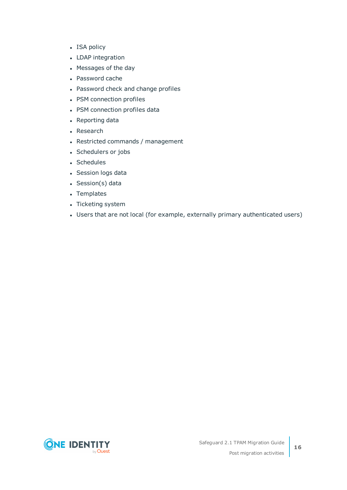- ISA policy
- LDAP integration
- Messages of the day
- Password cache
- Password check and change profiles
- PSM connection profiles
- PSM connection profiles data
- Reporting data
- Research
- Restricted commands / management
- Schedulers or jobs
- Schedules
- Session logs data
- Session(s) data
- Templates
- Ticketing system
- Users that are not local (for example, externally primary authenticated users)